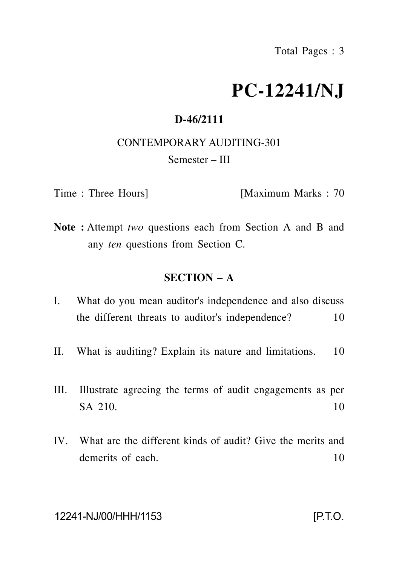# **PC-12241/NJ**

## **D-46/2111**

CONTEMPORARY AUDITING-301

Semester – III

Time : Three Hours] [Maximum Marks : 70

**Note :** Attempt *two* questions each from Section A and B and any *ten* questions from Section C.

## **SECTION – A**

- I. What do you mean auditor's independence and also discuss the different threats to auditor's independence? 10
- II. What is auditing? Explain its nature and limitations. 10
- III. Illustrate agreeing the terms of audit engagements as per  $SA$  210. 10
- IV. What are the different kinds of audit? Give the merits and demerits of each. 10

### 12241-NJ/00/HHH/1153 [P.T.O.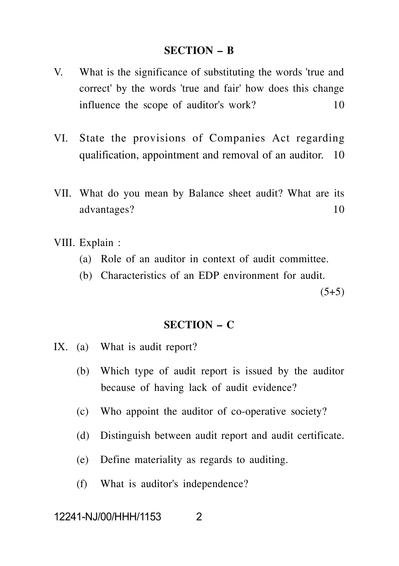#### **SECTION – B**

- V. What is the significance of substituting the words 'true and correct' by the words 'true and fair' how does this change influence the scope of auditor's work? 10
- VI. State the provisions of Companies Act regarding qualification, appointment and removal of an auditor. 10
- VII. What do you mean by Balance sheet audit? What are its advantages? 10
- VIII. Explain :
	- (a) Role of an auditor in context of audit committee.
	- (b) Characteristics of an EDP environment for audit.

 $(5+5)$ 

#### **SECTION – C**

- IX. (a) What is audit report?
	- (b) Which type of audit report is issued by the auditor because of having lack of audit evidence?
	- (c) Who appoint the auditor of co-operative society?
	- (d) Distinguish between audit report and audit certificate.
	- (e) Define materiality as regards to auditing.
	- (f) What is auditor's independence?

# 12241-NJ/00/HHH/1153 2